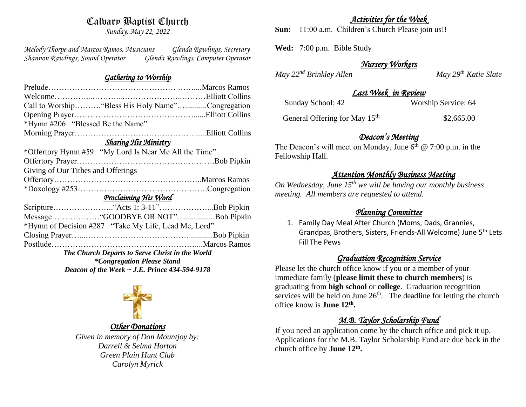# Calvary Baptist Church

*Sunday, May 22, 2022*

*Melody Thorpe and Marcos Ramos, Musicians Glenda Rawlings, Secretary Shannon Rawlings, Sound Operator Glenda Rawlings, Computer Operator* 

## *Gathering to Worship*

| Call to Worship "Bless His Holy Name"Congregation     |  |  |
|-------------------------------------------------------|--|--|
|                                                       |  |  |
| *Hymn #206 "Blessed Be the Name"                      |  |  |
|                                                       |  |  |
| <b>Sharing His Ministry</b>                           |  |  |
| *Offertory Hymn #59 "My Lord Is Near Me All the Time" |  |  |
|                                                       |  |  |
| Giving of Our Tithes and Offerings                    |  |  |
|                                                       |  |  |
|                                                       |  |  |
| Proclaiming His Word                                  |  |  |
|                                                       |  |  |
| MessageGOODBYE OR NOT"Bob Pipkin                      |  |  |
| *Hymn of Decision #287 "Take My Life, Lead Me, Lord"  |  |  |
|                                                       |  |  |
|                                                       |  |  |
| The Church Departs to Serve Christ in the World       |  |  |
| <i>*Congregation Please Stand</i>                     |  |  |
| Deacon of the Week $\sim$ J.E. Prince 434-594-9178    |  |  |
|                                                       |  |  |



#### *Other Donations*

*Given in memory of Don Mountjoy by: Darrell & Selma Horton Green Plain Hunt Club Carolyn Myrick*

#### *Activities for the Week*

**Sun:** 11:00 a.m. Children's Church Please join us!!

**Wed:** 7:00 p.m. Bible Study

## *Nursery Workers*

*May*  $22^{nd}$  *Brinkley Allen* May  $29^{th}$  *Katie Slate* 

## *Last Week in Review*

| Worship Service: 64 |
|---------------------|
|                     |
|                     |
|                     |
|                     |

General Offering for May 15<sup>th</sup> \$2,665.00

## *Deacon's Meeting*

The Deacon's will meet on Monday, June  $6<sup>th</sup>$  @ 7:00 p.m. in the Fellowship Hall.

## *Attention Monthly Business Meeting*

*On Wednesday, June 15th we will be having our monthly business meeting. All members are requested to attend.* 

## *Planning Committee*

1. Family Day Meal After Church (Moms, Dads, Grannies, Grandpas, Brothers, Sisters, Friends-All Welcome) June 5th Lets Fill The Pews

## *Graduation Recognition Service*

Please let the church office know if you or a member of your immediate family (**please limit these to church members**) is graduating from **high school** or **college**. Graduation recognition services will be held on June  $26<sup>th</sup>$ . The deadline for letting the church office know is **June 12th .**

# *M.B. Taylor Scholarship Fund*

If you need an application come by the church office and pick it up. Applications for the M.B. Taylor Scholarship Fund are due back in the church office by **June 12th .**